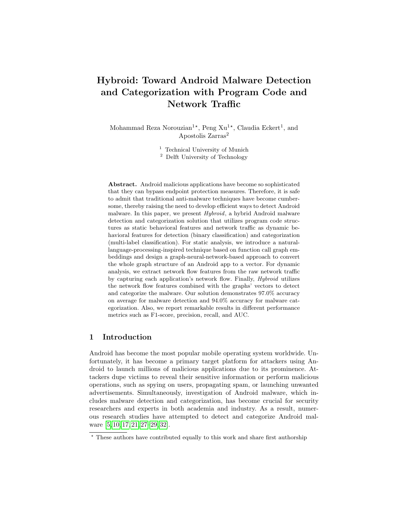# Hybroid: Toward Android Malware Detection and Categorization with Program Code and Network Traffic

Mohammad Reza Norouzian<sup>1\*</sup>, Peng  $Xu^{1*}$ , Claudia Eckert<sup>1</sup>, and Apostolis Zarras<sup>2</sup>

 $^{\rm 1}$  Technical University of Munich

<sup>2</sup> Delft University of Technology

Abstract. Android malicious applications have become so sophisticated that they can bypass endpoint protection measures. Therefore, it is safe to admit that traditional anti-malware techniques have become cumbersome, thereby raising the need to develop efficient ways to detect Android malware. In this paper, we present *Hybroid*, a hybrid Android malware detection and categorization solution that utilizes program code structures as static behavioral features and network traffic as dynamic behavioral features for detection (binary classification) and categorization (multi-label classification). For static analysis, we introduce a naturallanguage-processing-inspired technique based on function call graph embeddings and design a graph-neural-network-based approach to convert the whole graph structure of an Android app to a vector. For dynamic analysis, we extract network flow features from the raw network traffic by capturing each application's network flow. Finally, Hybroid utilizes the network flow features combined with the graphs' vectors to detect and categorize the malware. Our solution demonstrates 97.0% accuracy on average for malware detection and 94.0% accuracy for malware categorization. Also, we report remarkable results in different performance metrics such as F1-score, precision, recall, and AUC.

# 1 Introduction

Android has become the most popular mobile operating system worldwide. Unfortunately, it has become a primary target platform for attackers using Android to launch millions of malicious applications due to its prominence. Attackers dupe victims to reveal their sensitive information or perform malicious operations, such as spying on users, propagating spam, or launching unwanted advertisements. Simultaneously, investigation of Android malware, which includes malware detection and categorization, has become crucial for security researchers and experts in both academia and industry. As a result, numerous research studies have attempted to detect and categorize Android malware [\[5,](#page-17-0) [10,](#page-18-0) [17,](#page-18-1) [21,](#page-18-2) [27](#page-19-0)[–29,](#page-19-1) [32\]](#page-19-2).

<sup>?</sup> These authors have contributed equally to this work and share first authorship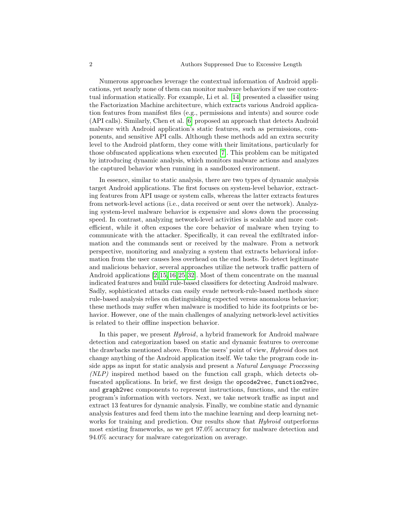Numerous approaches leverage the contextual information of Android applications, yet nearly none of them can monitor malware behaviors if we use contextual information statically. For example, Li et al. [\[14\]](#page-18-3) presented a classifier using the Factorization Machine architecture, which extracts various Android application features from manifest files (e.g., permissions and intents) and source code (API calls). Similarly, Chen et al. [\[6\]](#page-17-1) proposed an approach that detects Android malware with Android application's static features, such as permissions, components, and sensitive API calls. Although these methods add an extra security level to the Android platform, they come with their limitations, particularly for those obfuscated applications when executed [\[7\]](#page-17-2). This problem can be mitigated by introducing dynamic analysis, which monitors malware actions and analyzes the captured behavior when running in a sandboxed environment.

In essence, similar to static analysis, there are two types of dynamic analysis target Android applications. The first focuses on system-level behavior, extracting features from API usage or system calls, whereas the latter extracts features from network-level actions (i.e., data received or sent over the network). Analyzing system-level malware behavior is expensive and slows down the processing speed. In contrast, analyzing network-level activities is scalable and more costefficient, while it often exposes the core behavior of malware when trying to communicate with the attacker. Specifically, it can reveal the exfiltrated information and the commands sent or received by the malware. From a network perspective, monitoring and analyzing a system that extracts behavioral information from the user causes less overhead on the end hosts. To detect legitimate and malicious behavior, several approaches utilize the network traffic pattern of Android applications [\[2,](#page-17-3) [15,](#page-18-4) [16,](#page-18-5) [25,](#page-18-6) [32\]](#page-19-2). Most of them concentrate on the manual indicated features and build rule-based classifiers for detecting Android malware. Sadly, sophisticated attacks can easily evade network-rule-based methods since rule-based analysis relies on distinguishing expected versus anomalous behavior; these methods may suffer when malware is modified to hide its footprints or behavior. However, one of the main challenges of analyzing network-level activities is related to their offline inspection behavior.

In this paper, we present Hybroid, a hybrid framework for Android malware detection and categorization based on static and dynamic features to overcome the drawbacks mentioned above. From the users' point of view, Hybroid does not change anything of the Android application itself. We take the program code inside apps as input for static analysis and present a Natural Language Processing (NLP) inspired method based on the function call graph, which detects obfuscated applications. In brief, we first design the opcode2vec, function2vec, and graph2vec components to represent instructions, functions, and the entire program's information with vectors. Next, we take network traffic as input and extract 13 features for dynamic analysis. Finally, we combine static and dynamic analysis features and feed them into the machine learning and deep learning networks for training and prediction. Our results show that *Hybroid* outperforms most existing frameworks, as we get 97.0% accuracy for malware detection and 94.0% accuracy for malware categorization on average.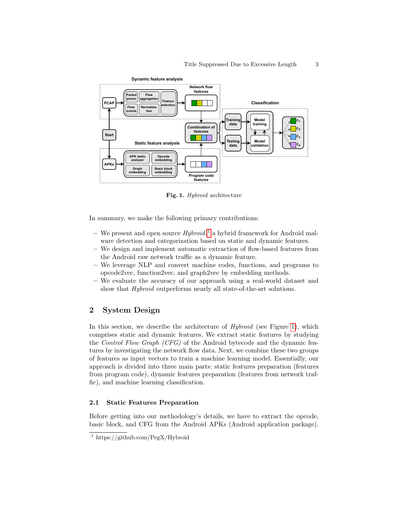

<span id="page-2-1"></span>Fig. 1. Hybroid architecture

In summary, we make the following primary contributions:

- We present and open source  $Hybroid$ ,<sup>[1](#page-2-0)</sup> a hybrid framework for Android malware detection and categorization based on static and dynamic features.
- We design and implement automatic extraction of flow-based features from the Android raw network traffic as a dynamic feature.
- We leverage NLP and convert machine codes, functions, and programs to opcode2vec, function2vec, and graph2vec by embedding methods.
- We evaluate the accuracy of our approach using a real-world dataset and show that *Hybroid* outperforms nearly all state-of-the-art solutions.

# 2 System Design

In this section, we describe the architecture of  $Hybroid$  (see Figure [1\)](#page-2-1), which comprises static and dynamic features. We extract static features by studying the Control Flow Graph (CFG) of the Android bytecode and the dynamic features by investigating the network flow data. Next, we combine these two groups of features as input vectors to train a machine learning model. Essentially, our approach is divided into three main parts: static features preparation (features from program code), dynamic features preparation (features from network traffic), and machine learning classification.

## 2.1 Static Features Preparation

Before getting into our methodology's details, we have to extract the opcode, basic block, and CFG from the Android APKs (Android application package).

<span id="page-2-0"></span><sup>&</sup>lt;sup>1</sup> https://github.com/PegX/Hybroid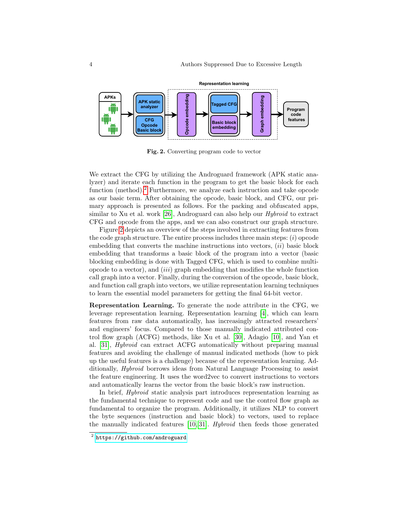

<span id="page-3-1"></span>Fig. 2. Converting program code to vector

We extract the CFG by utilizing the Androguard framework (APK static analyzer) and iterate each function in the program to get the basic block for each function (method).<sup>[2](#page-3-0)</sup> Furthermore, we analyze each instruction and take opcode as our basic term. After obtaining the opcode, basic block, and CFG, our primary approach is presented as follows. For the packing and obfuscated apps, similar to Xu et al. work [\[26\]](#page-18-7), Androguard can also help our Hybroid to extract CFG and opcode from the apps, and we can also construct our graph structure.

Figure [2](#page-3-1) depicts an overview of the steps involved in extracting features from the code graph structure. The entire process includes three main steps:  $(i)$  opcode embedding that converts the machine instructions into vectors,  $(ii)$  basic block embedding that transforms a basic block of the program into a vector (basic blocking embedding is done with Tagged CFG, which is used to combine multiopcode to a vector), and  $(iii)$  graph embedding that modifies the whole function call graph into a vector. Finally, during the conversion of the opcode, basic block, and function call graph into vectors, we utilize representation learning techniques to learn the essential model parameters for getting the final 64-bit vector.

Representation Learning. To generate the node attribute in the CFG, we leverage representation learning. Representation learning [\[4\]](#page-17-4), which can learn features from raw data automatically, has increasingly attracted researchers' and engineers' focus. Compared to those manually indicated attributed control flow graph (ACFG) methods, like Xu et al. [\[30\]](#page-19-3), Adagio [\[10\]](#page-18-0), and Yan et al. [\[31\]](#page-19-4), Hybroid can extract ACFG automatically without preparing manual features and avoiding the challenge of manual indicated methods (how to pick up the useful features is a challenge) because of the representation learning. Additionally, Hybroid borrows ideas from Natural Language Processing to assist the feature engineering. It uses the word2vec to convert instructions to vectors and automatically learns the vector from the basic block's raw instruction.

In brief, Hybroid static analysis part introduces representation learning as the fundamental technique to represent code and use the control flow graph as fundamental to organize the program. Additionally, it utilizes NLP to convert the byte sequences (instruction and basic block) to vectors, used to replace the manually indicated features [\[10,](#page-18-0) [31\]](#page-19-4). Hybroid then feeds those generated

<span id="page-3-0"></span> $^{\rm 2}$  <https://github.com/androguard>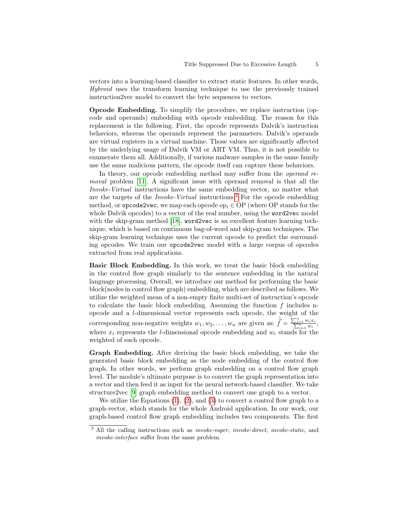vectors into a learning-based classifier to extract static features. In other words, Hybroid uses the transform learning technique to use the previously trained instruction2vec model to convert the byte sequences to vectors.

Opcode Embedding. To simplify the procedure, we replace instruction (opcode and operands) embedding with opcode embedding. The reason for this replacement is the following. First, the opcode represents Dalvik's instruction behaviors, whereas the operands represent the parameters. Dalvik's operands are virtual registers in a virtual machine. Those values are significantly affected by the underlying usage of Dalvik VM or ART VM. Thus, it is not possible to enumerate them all. Additionally, if various malware samples in the same family use the same malicious pattern, the opcode itself can capture these behaviors.

In theory, our opcode embedding method may suffer from the *operand re*moval problem [\[11\]](#page-18-8). A significant issue with operand removal is that all the Invoke-Virtual instructions have the same embedding vector, no matter what are the targets of the Invoke-Virtual instructions.[3](#page-4-0) For the opcode embedding method, or **opcode2vec**, we map each opcode  $op_i \in OP$  (where OP stands for the whole Dalvik opcodes) to a vector of the real number, using the word2vec model with the skip-gram method [\[18\]](#page-18-9). word2vec is an excellent feature learning technique, which is based on continuous bag-of-word and skip-gram techniques. The skip-gram learning technique uses the current opcode to predict the surrounding opcodes. We train our opcode2vec model with a large corpus of opcodes extracted from real applications.

Basic Block Embedding. In this work, we treat the basic block embedding in the control flow graph similarly to the sentence embedding in the natural language processing. Overall, we introduce our method for performing the basic block(nodes in control flow graph) embedding, which are described as follows. We utilize the weighted mean of a non-empty finite multi-set of instruction's opcode to calculate the basic block embedding. Assuming the function  $f$  includes nopcode and a l-dimensional vector represents each opcode, the weight of the corresponding non-negative weights  $w_1, w_2, \ldots, w_n$  are given as:  $\tilde{f} = \frac{\sum_{i=1}^n w_i x_i}{\sum_{i=1}^n w_i}$ , where  $x_i$  represents the *l*-dimensional opcode embedding and  $w_i$  stands for the weighted of each opcode.

Graph Embedding. After deriving the basic block embedding, we take the generated basic block embedding as the node embedding of the control flow graph. In other words, we perform graph embedding on a control flow graph level. The module's ultimate purpose is to convert the graph representation into a vector and then feed it as input for the neural network-based classifier. We take structure2vec [\[9\]](#page-17-5) graph embedding method to convert one graph to a vector.

We utilize the Equations  $(1)$ ,  $(2)$ , and  $(3)$  to convert a control flow graph to a graph-vector, which stands for the whole Android application. In our work, our graph-based control flow graph embedding includes two components. The first

<span id="page-4-0"></span><sup>&</sup>lt;sup>3</sup> All the calling instructions such as *invoke-super*, *invoke-direct*, *invoke-static*, and invoke-interface suffer from the same problem.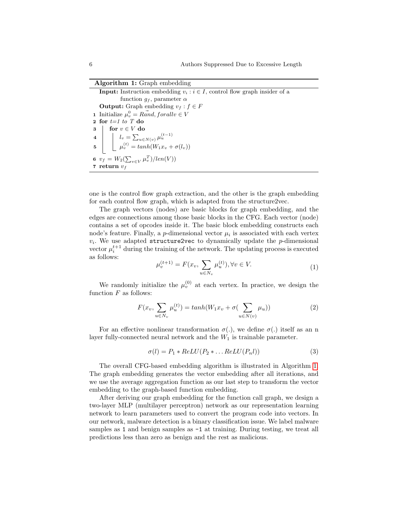#### Algorithm 1: Graph embedding

**Input:** Instruction embedding  $v_i : i \in I$ , control flow graph insider of a function  $g_f$ , parameter  $\alpha$ **Output:** Graph embedding  $v_f : f \in F$ **1** Initialize  $\mu_v^0 = R \vec{a} \cdot \text{d} \cdot \text{d} \cdot \text{d} \cdot \text{d} \cdot \text{d} \cdot \text{d} \cdot \text{d} \cdot \text{d} \cdot \text{d} \cdot \text{d} \cdot \text{d} \cdot \text{d} \cdot \text{d} \cdot \text{d} \cdot \text{d} \cdot \text{d} \cdot \text{d} \cdot \text{d} \cdot \text{d} \cdot \text{d} \cdot \text{d} \cdot \text{d} \cdot \text{d} \cdot \text{d} \cdot \text{d} \cdot \text{d} \cdot \text{d} \cdot \text$ 2 for  $t=1$  to T do  $3 \mid \text{for } v \in V \text{ do}$  $4$   $\Big|$   $l_v = \sum_{u \in N(v)} \mu_u^{(t-1)}$ 5  $\mu_v^{(t)} = \tanh(W_1 x_v + \sigma(l_v))$ 6  $v_f = W_2(\sum_{v \in V} \mu_v^T)/len(V))$ 7 return  $v_f$ 

<span id="page-5-3"></span>one is the control flow graph extraction, and the other is the graph embedding for each control flow graph, which is adapted from the structure2vec.

The graph vectors (nodes) are basic blocks for graph embedding, and the edges are connections among those basic blocks in the CFG. Each vector (node) contains a set of opcodes inside it. The basic block embedding constructs each node's feature. Finally, a *p*-dimensional vector  $\mu_i$  is associated with each vertex  $v_i$ . We use adapted structure2vec to dynamically update the  $p$ -dimensional vector  $\mu_i^{t+1}$  during the training of the network. The updating process is executed as follows:

<span id="page-5-0"></span>
$$
\mu_v^{(t+1)} = F(x_v, \sum_{u \in N_v} \mu_u^{(t)}), \forall v \in V.
$$
\n(1)

We randomly initialize the  $\mu_v^{(0)}$  at each vertex. In practice, we design the function  $F$  as follows:

<span id="page-5-1"></span>
$$
F(x_v, \sum_{u \in N_v} \mu_u^{(t)}) = \tanh(W_1 x_v + \sigma(\sum_{u \in N(v)} \mu_u))
$$
\n(2)

For an effective nonlinear transformation  $\sigma(.)$ , we define  $\sigma(.)$  itself as an n layer fully-connected neural network and the  $W_1$  is trainable parameter.

<span id="page-5-2"></span>
$$
\sigma(l) = P_1 * ReLU(P_2 * ... ReLU(P_n l))
$$
\n(3)

The overall CFG-based embedding algorithm is illustrated in Algorithm [1.](#page-5-3) The graph embedding generates the vector embedding after all iterations, and we use the average aggregation function as our last step to transform the vector embedding to the graph-based function embedding.

After deriving our graph embedding for the function call graph, we design a two-layer MLP (multilayer perceptron) network as our representation learning network to learn parameters used to convert the program code into vectors. In our network, malware detection is a binary classification issue. We label malware samples as 1 and benign samples as  $-1$  at training. During testing, we treat all predictions less than zero as benign and the rest as malicious.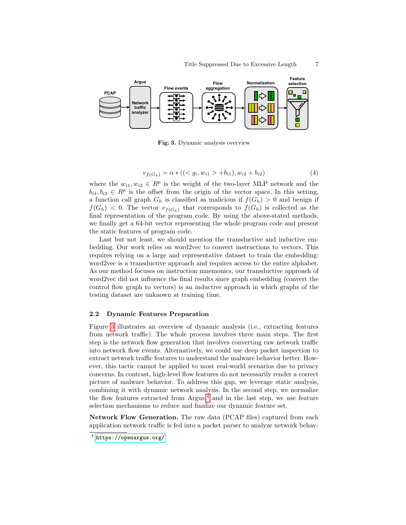

<span id="page-6-0"></span>Fig. 3. Dynamic analysis overview

$$
v_{f(G_h)} = \alpha * (( +b_{i1}), w_{i2} + b_{i2})
$$
\n
$$
\tag{4}
$$

where the  $w_{i1}, w_{i2} \in \mathbb{R}^p$  is the weight of the two-layer MLP network and the  $b_{i1}, b_{i2} \in \mathbb{R}^p$  is the offset from the origin of the vector space. In this setting, a function call graph  $G_h$  is classified as malicious if  $f(G_h) > 0$  and benign if  $f(G_h)$  < 0. The vector  $v_{f(G_h)}$  that corresponds to  $f(G_h)$  is collected as the final representation of the program code. By using the above-stated methods, we finally get a 64-bit vector representing the whole program code and present the static features of program code.

Last but not least, we should mention the transductive and inductive embedding. Our work relies on word2vec to convert instructions to vectors. This requires relying on a large and representative dataset to train the embedding: word2vec is a transductive approach and requires access to the entire alphabet. As our method focuses on instruction mnemonics, our transductive approach of word2vec did not influence the final results since graph embedding (convert the control flow graph to vectors) is an inductive approach in which graphs of the testing dataset are unknown at training time.

#### 2.2 Dynamic Features Preparation

Figure [3](#page-6-0) illustrates an overview of dynamic analysis (i.e., extracting features from network traffic). The whole process involves three main steps. The first step is the network flow generation that involves converting raw network traffic into network flow events. Alternatively, we could use deep packet inspection to extract network traffic features to understand the malware behavior better. However, this tactic cannot be applied to most real-world scenarios due to privacy concerns. In contrast, high-level flow features do not necessarily render a correct picture of malware behavior. To address this gap, we leverage static analysis, combining it with dynamic network analysis. In the second step, we normalize the flow features extracted from  $Argus<sub>1</sub><sup>4</sup>$  $Argus<sub>1</sub><sup>4</sup>$  $Argus<sub>1</sub><sup>4</sup>$  and in the last step, we use feature selection mechanisms to reduce and finalize our dynamic feature set.

Network Flow Generation. The raw data (PCAP files) captured from each application network traffic is fed into a packet parser to analyze network behav-

<span id="page-6-1"></span> $^4$  <https://openargus.org/>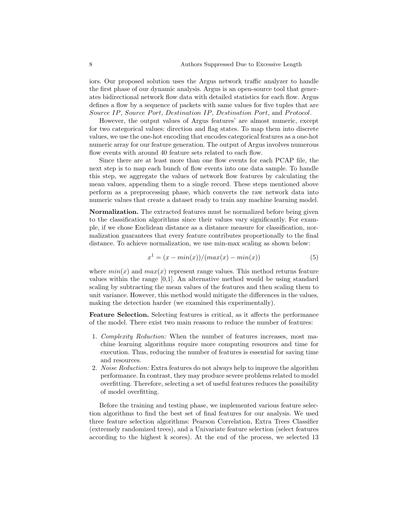iors. Our proposed solution uses the Argus network traffic analyzer to handle the first phase of our dynamic analysis. Argus is an open-source tool that generates bidirectional network flow data with detailed statistics for each flow. Argus defines a flow by a sequence of packets with same values for five tuples that are Source IP, Source Port, Destination IP, Destination Port, and Protocol.

However, the output values of Argus features' are almost numeric, except for two categorical values: direction and flag states. To map them into discrete values, we use the one-hot encoding that encodes categorical features as a one-hot numeric array for our feature generation. The output of Argus involves numerous flow events with around 40 feature sets related to each flow.

Since there are at least more than one flow events for each PCAP file, the next step is to map each bunch of flow events into one data sample. To handle this step, we aggregate the values of network flow features by calculating the mean values, appending them to a single record. These steps mentioned above perform as a preprocessing phase, which converts the raw network data into numeric values that create a dataset ready to train any machine learning model.

Normalization. The extracted features must be normalized before being given to the classification algorithms since their values vary significantly. For example, if we chose Euclidean distance as a distance measure for classification, normalization guarantees that every feature contributes proportionally to the final distance. To achieve normalization, we use min-max scaling as shown below:

$$
x^{1} = (x - min(x))/(max(x) - min(x))
$$
\n(5)

where  $min(x)$  and  $max(x)$  represent range values. This method returns feature values within the range  $[0,1]$ . An alternative method would be using standard scaling by subtracting the mean values of the features and then scaling them to unit variance. However, this method would mitigate the differences in the values, making the detection harder (we examined this experimentally).

Feature Selection. Selecting features is critical, as it affects the performance of the model. There exist two main reasons to reduce the number of features:

- 1. Complexity Reduction: When the number of features increases, most machine learning algorithms require more computing resources and time for execution. Thus, reducing the number of features is essential for saving time and resources.
- 2. Noise Reduction: Extra features do not always help to improve the algorithm performance. In contrast, they may produce severe problems related to model overfitting. Therefore, selecting a set of useful features reduces the possibility of model overfitting.

Before the training and testing phase, we implemented various feature selection algorithms to find the best set of final features for our analysis. We used three feature selection algorithms: Pearson Correlation, Extra Trees Classifier (extremely randomized trees), and a Univariate feature selection (select features according to the highest k scores). At the end of the process, we selected 13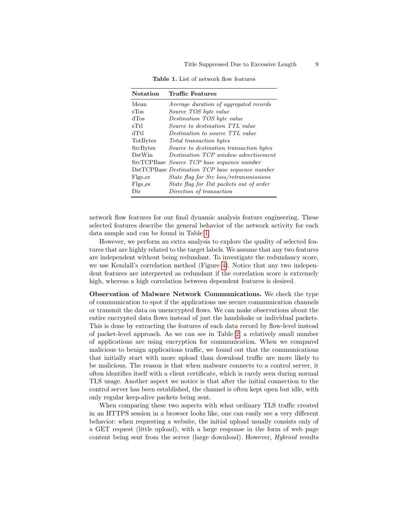<span id="page-8-0"></span>

|  |  | <b>Table 1.</b> List of network flow features |  |
|--|--|-----------------------------------------------|--|
|  |  |                                               |  |

| <b>Notation</b> | <b>Traffic Features</b>                         |
|-----------------|-------------------------------------------------|
| Mean            | Average duration of aggregated records          |
| sTos            | Source TOS byte value                           |
| dTos            | Destination TOS byte value                      |
| sTtl            | Source to destination TTL value                 |
| dTtl            | Destination to source TTL value                 |
| TotBytes        | Total transaction bytes                         |
| SrcBytes        | Source to destination transaction bytes         |
| DstWin          | Destination TCP window advertisement            |
|                 | SrcTCPBase Source TCP base sequence number      |
|                 | DstTCPBase Destination TCP base sequence number |
| Flgs_er         | <i>State flag for Src loss/retransmissions</i>  |
| Flgs_es         | State flag for Dst packets out of order         |
| Dir             | Direction of transaction                        |

network flow features for our final dynamic analysis feature engineering. These selected features describe the general behavior of the network activity for each data sample and can be found in Table [1.](#page-8-0)

However, we perform an extra analysis to explore the quality of selected features that are highly related to the target labels. We assume that any two features are independent without being redundant. To investigate the redundancy score, we use Kendall's correlation method (Figure [4\)](#page-9-0). Notice that any two independent features are interpreted as redundant if the correlation score is extremely high, whereas a high correlation between dependent features is desired.

Observation of Malware Network Communications. We check the type of communication to spot if the applications use secure communication channels or transmit the data on unencrypted flows. We can make observations about the entire encrypted data flows instead of just the handshake or individual packets. This is done by extracting the features of each data record by flow-level instead of packet-level approach. As we can see in Table [2,](#page-10-0) a relatively small number of applications are using encryption for communication. When we compared malicious to benign applications traffic, we found out that the communications that initially start with more upload than download traffic are more likely to be malicious. The reason is that when malware connects to a control server, it often identifies itself with a client certificate, which is rarely seen during normal TLS usage. Another aspect we notice is that after the initial connection to the control server has been established, the channel is often kept open but idle, with only regular keep-alive packets being sent.

When comparing these two aspects with what ordinary TLS traffic created in an HTTPS session in a browser looks like, one can easily see a very different behavior: when requesting a website, the initial upload usually consists only of a GET request (little upload), with a large response in the form of web page content being sent from the server (large download). However, *Hybroid* results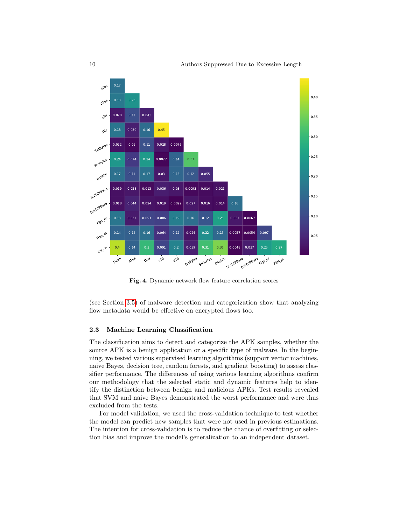

<span id="page-9-0"></span>Fig. 4. Dynamic network flow feature correlation scores

(see Section [3.5\)](#page-12-0) of malware detection and categorization show that analyzing flow metadata would be effective on encrypted flows too.

#### 2.3 Machine Learning Classification

The classification aims to detect and categorize the APK samples, whether the source APK is a benign application or a specific type of malware. In the beginning, we tested various supervised learning algorithms (support vector machines, naive Bayes, decision tree, random forests, and gradient boosting) to assess classifier performance. The differences of using various learning algorithms confirm our methodology that the selected static and dynamic features help to identify the distinction between benign and malicious APKs. Test results revealed that SVM and naive Bayes demonstrated the worst performance and were thus excluded from the tests.

For model validation, we used the cross-validation technique to test whether the model can predict new samples that were not used in previous estimations. The intention for cross-validation is to reduce the chance of overfitting or selection bias and improve the model's generalization to an independent dataset.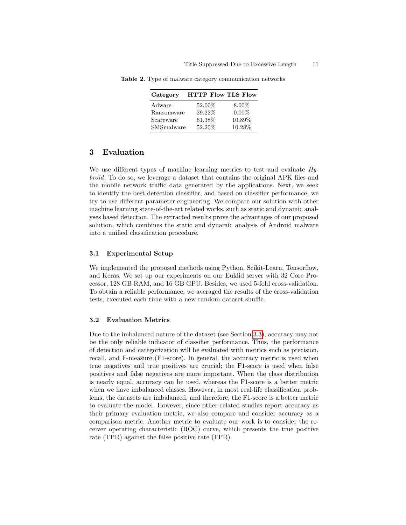<span id="page-10-0"></span>

| Category   | <b>HTTP Flow TLS Flow</b> |          |
|------------|---------------------------|----------|
| Adware     | 52.00%                    | $8.00\%$ |
| Ransomware | 29.22%                    | $0.00\%$ |
| Scareware  | 61.38%                    | 10.89%   |
| SMSmalware | 52.20%                    | 10.28%   |

Table 2. Type of malware category communication networks

# 3 Evaluation

We use different types of machine learning metrics to test and evaluate  $H_{\nu}$ broid. To do so, we leverage a dataset that contains the original APK files and the mobile network traffic data generated by the applications. Next, we seek to identify the best detection classifier, and based on classifier performance, we try to use different parameter engineering. We compare our solution with other machine learning state-of-the-art related works, such as static and dynamic analyses based detection. The extracted results prove the advantages of our proposed solution, which combines the static and dynamic analysis of Android malware into a unified classification procedure.

#### 3.1 Experimental Setup

We implemented the proposed methods using Python, Scikit-Learn, Tensorflow, and Keras. We set up our experiments on our Euklid server with 32 Core Processor, 128 GB RAM, and 16 GB GPU. Besides, we used 5-fold cross-validation. To obtain a reliable performance, we averaged the results of the cross-validation tests, executed each time with a new random dataset shuffle.

#### 3.2 Evaluation Metrics

Due to the imbalanced nature of the dataset (see Section [3.3\)](#page-11-0), accuracy may not be the only reliable indicator of classifier performance. Thus, the performance of detection and categorization will be evaluated with metrics such as precision, recall, and F-measure (F1-score). In general, the accuracy metric is used when true negatives and true positives are crucial; the F1-score is used when false positives and false negatives are more important. When the class distribution is nearly equal, accuracy can be used, whereas the F1-score is a better metric when we have imbalanced classes. However, in most real-life classification problems, the datasets are imbalanced, and therefore, the F1-score is a better metric to evaluate the model. However, since other related studies report accuracy as their primary evaluation metric, we also compare and consider accuracy as a comparison metric. Another metric to evaluate our work is to consider the receiver operating characteristic (ROC) curve, which presents the true positive rate (TPR) against the false positive rate (FPR).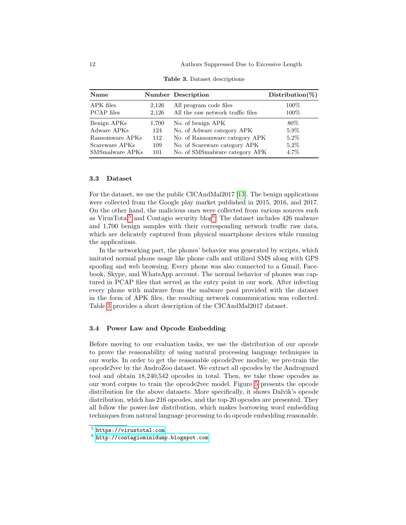| Name                           |                | <b>Number Description</b>                                   | $Distribution(\%)$ |
|--------------------------------|----------------|-------------------------------------------------------------|--------------------|
| APK files<br><b>PCAP</b> files | 2,126<br>2,126 | All program code files<br>All the raw network traffic files | 100\%<br>100\%     |
| Benign APKs                    | 1,700          | No. of benign APK                                           | $80\%$             |
| Adware APKs                    | 124            | No. of Adware category APK                                  | $5.9\%$            |
| Ransomware APKs                | 112            | No. of Ransomware category APK                              | $5.2\%$            |
| Scareware APKs                 | 109            | No. of Scareware category APK                               | $5.2\%$            |
| SMSmalware APKs                | 101            | No. of SMSmalware category APK                              | 4.7%               |

<span id="page-11-3"></span>Table 3. Dataset descriptions

## <span id="page-11-0"></span>3.3 Dataset

For the dataset, we use the public CICAndMal2017 [\[13\]](#page-18-10). The benign applications were collected from the Google play market published in 2015, 2016, and 2017. On the other hand, the malicious ones were collected from various sources such as VirusTotal<sup>[5](#page-11-1)</sup> and Contagio security blog<sup>[6](#page-11-2)</sup>. The dataset includes 426 malware and 1,700 benign samples with their corresponding network traffic raw data, which are delicately captured from physical smartphone devices while running the applications.

In the networking part, the phones' behavior was generated by scripts, which imitated normal phone usage like phone calls and utilized SMS along with GPS spoofing and web browsing. Every phone was also connected to a Gmail, Facebook, Skype, and WhatsApp account. The normal behavior of phones was captured in PCAP files that served as the entry point in our work. After infecting every phone with malware from the malware pool provided with the dataset in the form of APK files, the resulting network communication was collected. Table [3](#page-11-3) provides a short description of the CICAndMal2017 dataset.

## 3.4 Power Law and Opcode Embedding

Before moving to our evaluation tasks, we use the distribution of our opcode to prove the reasonability of using natural processing language techniques in our works. In order to get the reasonable opcode2vec module, we pre-train the opcode2vec by the AndroZoo dataset. We extract all opcodes by the Androguard tool and obtain 18,240,542 opcodes in total. Then, we take those opcodes as our word corpus to train the opcode2vec model. Figure [5](#page-12-1) presents the opcode distribution for the above datasets. More specifically, it shows Dalvik's opcode distribution, which has 216 opcodes, and the top-20 opcodes are presented. They all follow the power-law distribution, which makes borrowing word embedding techniques from natural language processing to do opcode embedding reasonable.

<span id="page-11-1"></span> $5$  <https://virustotal.com>

<span id="page-11-2"></span> $^6$  <http://contagiominidump.blogspot.com>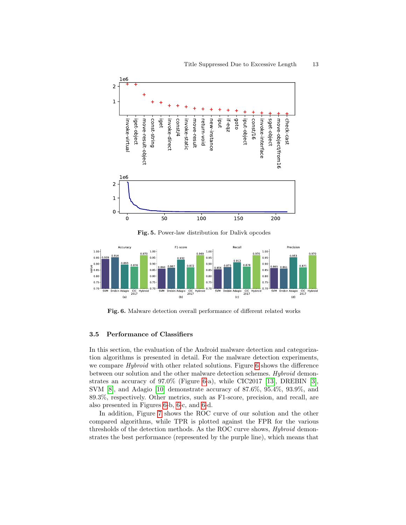

<span id="page-12-1"></span>Fig. 5. Power-law distribution for Dalivk opcodes



<span id="page-12-2"></span>Fig. 6. Malware detection overall performance of different related works

#### <span id="page-12-0"></span>3.5 Performance of Classifiers

In this section, the evaluation of the Android malware detection and categorization algorithms is presented in detail. For the malware detection experiments, we compare *Hybroid* with other related solutions. Figure [6](#page-12-2) shows the difference between our solution and the other malware detection schemes. Hybroid demonstrates an accuracy of 97.0% (Figure [6-](#page-12-2)a), while CIC2017 [\[13\]](#page-18-10), DREBIN [\[3\]](#page-17-6), SVM [\[8\]](#page-17-7), and Adagio [\[10\]](#page-18-0) demonstrate accuracy of 87.6%, 95.4%, 93.9%, and 89.3%, respectively. Other metrics, such as F1-score, precision, and recall, are also presented in Figures [6-](#page-12-2)b, [6-](#page-12-2)c, and [6-](#page-12-2)d.

In addition, Figure [7](#page-13-0) shows the ROC curve of our solution and the other compared algorithms, while TPR is plotted against the FPR for the various thresholds of the detection methods. As the ROC curve shows, Hybroid demonstrates the best performance (represented by the purple line), which means that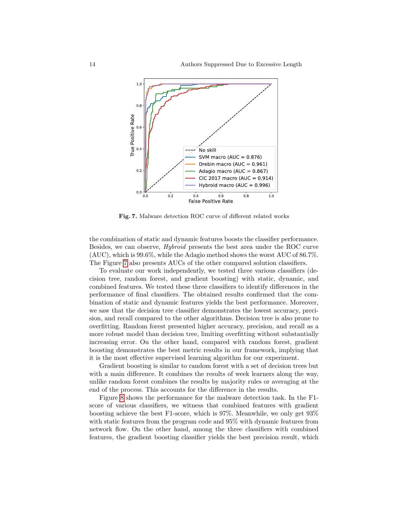

<span id="page-13-0"></span>Fig. 7. Malware detection ROC curve of different related works

the combination of static and dynamic features boosts the classifier performance. Besides, we can observe, Hybroid presents the best area under the ROC curve (AUC), which is 99.6%, while the Adagio method shows the worst AUC of 86.7%. The Figure [7](#page-13-0) also presents AUCs of the other compared solution classifiers.

To evaluate our work independently, we tested three various classifiers (decision tree, random forest, and gradient boosting) with static, dynamic, and combined features. We tested these three classifiers to identify differences in the performance of final classifiers. The obtained results confirmed that the combination of static and dynamic features yields the best performance. Moreover, we saw that the decision tree classifier demonstrates the lowest accuracy, precision, and recall compared to the other algorithms. Decision tree is also prone to overfitting. Random forest presented higher accuracy, precision, and recall as a more robust model than decision tree, limiting overfitting without substantially increasing error. On the other hand, compared with random forest, gradient boosting demonstrates the best metric results in our framework, implying that it is the most effective supervised learning algorithm for our experiment.

Gradient boosting is similar to random forest with a set of decision trees but with a main difference. It combines the results of week learners along the way, unlike random forest combines the results by majority rules or averaging at the end of the process. This accounts for the difference in the results.

Figure [8](#page-14-0) shows the performance for the malware detection task. In the F1 score of various classifiers, we witness that combined features with gradient boosting achieve the best F1-score, which is 97%. Meanwhile, we only get 93% with static features from the program code and 95% with dynamic features from network flow. On the other hand, among the three classifiers with combined features, the gradient boosting classifier yields the best precision result, which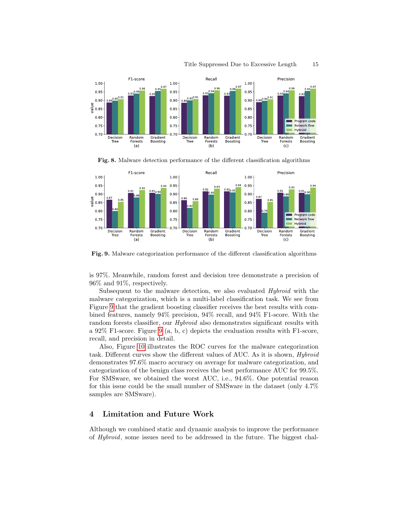

<span id="page-14-0"></span>Fig. 8. Malware detection performance of the different classification algorithms



<span id="page-14-1"></span>Fig. 9. Malware categorization performance of the different classification algorithms

is 97%. Meanwhile, random forest and decision tree demonstrate a precision of 96% and 91%, respectively.

Subsequent to the malware detection, we also evaluated Hybroid with the malware categorization, which is a multi-label classification task. We see from Figure [9](#page-14-1) that the gradient boosting classifier receives the best results with combined features, namely 94% precision, 94% recall, and 94% F1-score. With the random forests classifier, our *Hybroid* also demonstrates significant results with a 92% F1-score. Figure [9](#page-14-1) (a, b, c) depicts the evaluation results with F1-score, recall, and precision in detail.

Also, Figure [10](#page-15-0) illustrates the ROC curves for the malware categorization task. Different curves show the different values of AUC. As it is shown, Hybroid demonstrates 97.6% macro accuracy on average for malware categorization, and categorization of the benign class receives the best performance AUC for 99.5%. For SMSware, we obtained the worst AUC, i.e., 94.6%. One potential reason for this issue could be the small number of SMSware in the dataset (only 4.7% samples are SMSware).

# 4 Limitation and Future Work

Although we combined static and dynamic analysis to improve the performance of Hybroid, some issues need to be addressed in the future. The biggest chal-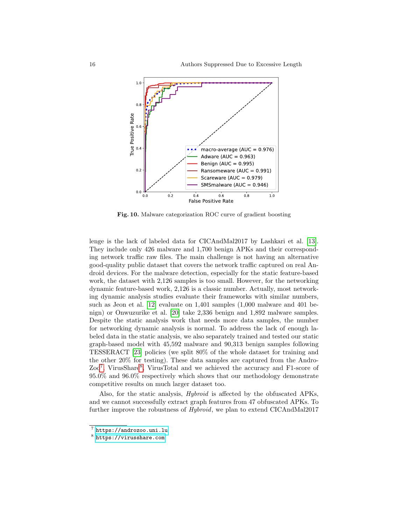

<span id="page-15-0"></span>Fig. 10. Malware categorization ROC curve of gradient boosting

lenge is the lack of labeled data for CICAndMal2017 by Lashkari et al. [\[13\]](#page-18-10). They include only 426 malware and 1,700 benign APKs and their corresponding network traffic raw files. The main challenge is not having an alternative good-quality public dataset that covers the network traffic captured on real Android devices. For the malware detection, especially for the static feature-based work, the dataset with 2,126 samples is too small. However, for the networking dynamic feature-based work, 2,126 is a classic number. Actually, most networking dynamic analysis studies evaluate their frameworks with similar numbers, such as Jeon et al. [\[12\]](#page-18-11) evaluate on 1,401 samples (1,000 malware and 401 benign) or Onwuzurike et al. [\[20\]](#page-18-12) take 2,336 benign and 1,892 malware samples. Despite the static analysis work that needs more data samples, the number for networking dynamic analysis is normal. To address the lack of enough labeled data in the static analysis, we also separately trained and tested our static graph-based model with 45,592 malware and 90,313 benign samples following TESSERACT [\[23\]](#page-18-13) policies (we split 80% of the whole dataset for training and the other 20% for testing). These data samples are captured from the Andro-Zoo<sup>[7](#page-15-1)</sup>, VirusShare<sup>[8](#page-15-2)</sup>, VirusTotal and we achieved the accuracy and F1-score of 95.0% and 96.0% respectively which shows that our methodology demonstrate competitive results on much larger dataset too.

Also, for the static analysis, Hybroid is affected by the obfuscated APKs, and we cannot successfully extract graph features from 47 obfuscated APKs. To further improve the robustness of Hybroid, we plan to extend CICAndMal2017

<span id="page-15-1"></span> $\frac{7}{7}$  <https://androzoo.uni.lu>

<span id="page-15-2"></span><sup>8</sup> <https://virusshare.com>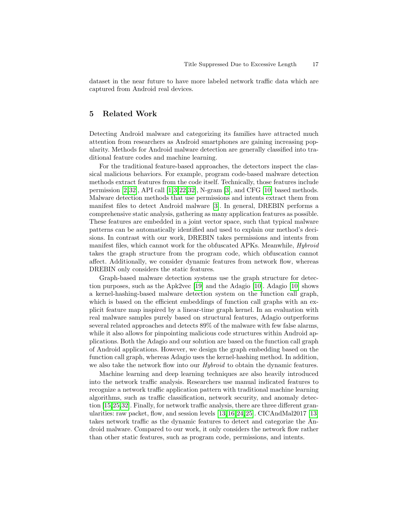dataset in the near future to have more labeled network traffic data which are captured from Android real devices.

# 5 Related Work

Detecting Android malware and categorizing its families have attracted much attention from researchers as Android smartphones are gaining increasing popularity. Methods for Android malware detection are generally classified into traditional feature codes and machine learning.

For the traditional feature-based approaches, the detectors inspect the classical malicious behaviors. For example, program code-based malware detection methods extract features from the code itself. Technically, those features include permission  $[2,32]$  $[2,32]$ , API call  $[1,3,22,32]$  $[1,3,22,32]$  $[1,3,22,32]$  $[1,3,22,32]$ , N-gram  $[3]$ , and CFG  $[10]$  based methods. Malware detection methods that use permissions and intents extract them from manifest files to detect Android malware [\[3\]](#page-17-6). In general, DREBIN performs a comprehensive static analysis, gathering as many application features as possible. These features are embedded in a joint vector space, such that typical malware patterns can be automatically identified and used to explain our method's decisions. In contrast with our work, DREBIN takes permissions and intents from manifest files, which cannot work for the obfuscated APKs. Meanwhile, Hybroid takes the graph structure from the program code, which obfuscation cannot affect. Additionally, we consider dynamic features from network flow, whereas DREBIN only considers the static features.

Graph-based malware detection systems use the graph structure for detection purposes, such as the Apk2vec [\[19\]](#page-18-15) and the Adagio [\[10\]](#page-18-0). Adagio [\[10\]](#page-18-0) shows a kernel-hashing-based malware detection system on the function call graph, which is based on the efficient embeddings of function call graphs with an explicit feature map inspired by a linear-time graph kernel. In an evaluation with real malware samples purely based on structural features, Adagio outperforms several related approaches and detects 89% of the malware with few false alarms, while it also allows for pinpointing malicious code structures within Android applications. Both the Adagio and our solution are based on the function call graph of Android applications. However, we design the graph embedding based on the function call graph, whereas Adagio uses the kernel-hashing method. In addition, we also take the network flow into our *Hybroid* to obtain the dynamic features.

Machine learning and deep learning techniques are also heavily introduced into the network traffic analysis. Researchers use manual indicated features to recognize a network traffic application pattern with traditional machine learning algorithms, such as traffic classification, network security, and anomaly detection [\[15,](#page-18-4)[25](#page-18-6)[,32\]](#page-19-2). Finally, for network traffic analysis, there are three different granularities: raw packet, flow, and session levels [\[13,](#page-18-10)[16,](#page-18-5)[24,](#page-18-16)[25\]](#page-18-6). CICAndMal2017 [\[13\]](#page-18-10) takes network traffic as the dynamic features to detect and categorize the Android malware. Compared to our work, it only considers the network flow rather than other static features, such as program code, permissions, and intents.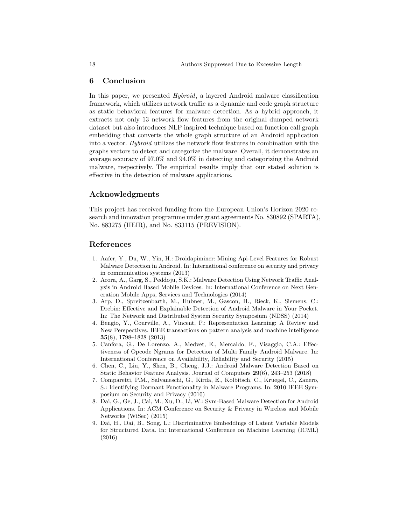# 6 Conclusion

In this paper, we presented Hybroid, a layered Android malware classification framework, which utilizes network traffic as a dynamic and code graph structure as static behavioral features for malware detection. As a hybrid approach, it extracts not only 13 network flow features from the original dumped network dataset but also introduces NLP inspired technique based on function call graph embedding that converts the whole graph structure of an Android application into a vector. Hybroid utilizes the network flow features in combination with the graphs vectors to detect and categorize the malware. Overall, it demonstrates an average accuracy of 97.0% and 94.0% in detecting and categorizing the Android malware, respectively. The empirical results imply that our stated solution is effective in the detection of malware applications.

# Acknowledgments

This project has received funding from the European Union's Horizon 2020 research and innovation programme under grant agreements No. 830892 (SPARTA), No. 883275 (HEIR), and No. 833115 (PREVISION).

# References

- <span id="page-17-8"></span>1. Aafer, Y., Du, W., Yin, H.: Droidapiminer: Mining Api-Level Features for Robust Malware Detection in Android. In: International conference on security and privacy in communication systems (2013)
- <span id="page-17-3"></span>2. Arora, A., Garg, S., Peddoju, S.K.: Malware Detection Using Network Traffic Analysis in Android Based Mobile Devices. In: International Conference on Next Generation Mobile Apps, Services and Technologies (2014)
- <span id="page-17-6"></span>3. Arp, D., Spreitzenbarth, M., Hubner, M., Gascon, H., Rieck, K., Siemens, C.: Drebin: Effective and Explainable Detection of Android Malware in Your Pocket. In: The Network and Distributed System Security Symposium (NDSS) (2014)
- <span id="page-17-4"></span>4. Bengio, Y., Courville, A., Vincent, P.: Representation Learning: A Review and New Perspectives. IEEE transactions on pattern analysis and machine intelligence 35(8), 1798–1828 (2013)
- <span id="page-17-0"></span>5. Canfora, G., De Lorenzo, A., Medvet, E., Mercaldo, F., Visaggio, C.A.: Effectiveness of Opcode Ngrams for Detection of Multi Family Android Malware. In: International Conference on Availability, Reliability and Security (2015)
- <span id="page-17-1"></span>6. Chen, C., Liu, Y., Shen, B., Cheng, J.J.: Android Malware Detection Based on Static Behavior Feature Analysis. Journal of Computers 29(6), 243–253 (2018)
- <span id="page-17-2"></span>7. Comparetti, P.M., Salvaneschi, G., Kirda, E., Kolbitsch, C., Kruegel, C., Zanero, S.: Identifying Dormant Functionality in Malware Programs. In: 2010 IEEE Symposium on Security and Privacy (2010)
- <span id="page-17-7"></span>8. Dai, G., Ge, J., Cai, M., Xu, D., Li, W.: Svm-Based Malware Detection for Android Applications. In: ACM Conference on Security & Privacy in Wireless and Mobile Networks (WiSec) (2015)
- <span id="page-17-5"></span>9. Dai, H., Dai, B., Song, L.: Discriminative Embeddings of Latent Variable Models for Structured Data. In: International Conference on Machine Learning (ICML) (2016)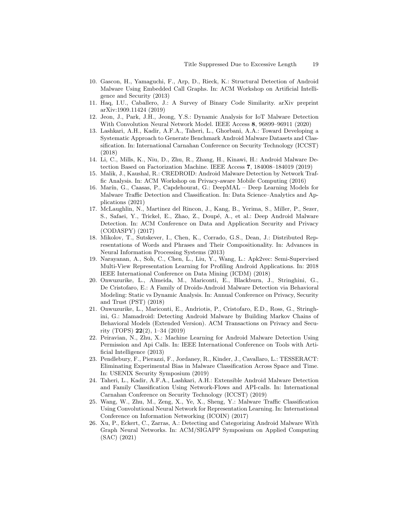- <span id="page-18-0"></span>10. Gascon, H., Yamaguchi, F., Arp, D., Rieck, K.: Structural Detection of Android Malware Using Embedded Call Graphs. In: ACM Workshop on Artificial Intelligence and Security (2013)
- <span id="page-18-8"></span>11. Haq, I.U., Caballero, J.: A Survey of Binary Code Similarity. arXiv preprint arXiv:1909.11424 (2019)
- <span id="page-18-11"></span>12. Jeon, J., Park, J.H., Jeong, Y.S.: Dynamic Analysis for IoT Malware Detection With Convolution Neural Network Model. IEEE Access 8, 96899–96911 (2020)
- <span id="page-18-10"></span>13. Lashkari, A.H., Kadir, A.F.A., Taheri, L., Ghorbani, A.A.: Toward Developing a Systematic Approach to Generate Benchmark Android Malware Datasets and Classification. In: International Carnahan Conference on Security Technology (ICCST) (2018)
- <span id="page-18-3"></span>14. Li, C., Mills, K., Niu, D., Zhu, R., Zhang, H., Kinawi, H.: Android Malware Detection Based on Factorization Machine. IEEE Access 7, 184008–184019 (2019)
- <span id="page-18-4"></span>15. Malik, J., Kaushal, R.: CREDROID: Android Malware Detection by Network Traffic Analysis. In: ACM Workshop on Privacy-aware Mobile Computing (2016)
- <span id="page-18-5"></span>16. Mar´ın, G., Caasas, P., Capdehourat, G.: DeepMAL – Deep Learning Models for Malware Traffic Detection and Classification. In: Data Science–Analytics and Applications (2021)
- <span id="page-18-1"></span>17. McLaughlin, N., Martinez del Rincon, J., Kang, B., Yerima, S., Miller, P., Sezer, S., Safaei, Y., Trickel, E., Zhao, Z., Doupé, A., et al.: Deep Android Malware Detection. In: ACM Conference on Data and Application Security and Privacy (CODASPY) (2017)
- <span id="page-18-9"></span>18. Mikolov, T., Sutskever, I., Chen, K., Corrado, G.S., Dean, J.: Distributed Representations of Words and Phrases and Their Compositionality. In: Advances in Neural Information Processing Systems (2013)
- <span id="page-18-15"></span>19. Narayanan, A., Soh, C., Chen, L., Liu, Y., Wang, L.: Apk2vec: Semi-Supervised Multi-View Representation Learning for Profiling Android Applications. In: 2018 IEEE International Conference on Data Mining (ICDM) (2018)
- <span id="page-18-12"></span>20. Onwuzurike, L., Almeida, M., Mariconti, E., Blackburn, J., Stringhini, G., De Cristofaro, E.: A Family of Droids-Android Malware Detection via Behavioral Modeling: Static vs Dynamic Analysis. In: Annual Conference on Privacy, Security and Trust (PST) (2018)
- <span id="page-18-2"></span>21. Onwuzurike, L., Mariconti, E., Andriotis, P., Cristofaro, E.D., Ross, G., Stringhini, G.: Mamadroid: Detecting Android Malware by Building Markov Chains of Behavioral Models (Extended Version). ACM Transactions on Privacy and Security (TOPS) 22(2), 1–34 (2019)
- <span id="page-18-14"></span>22. Peiravian, N., Zhu, X.: Machine Learning for Android Malware Detection Using Permission and Api Calls. In: IEEE International Conference on Tools with Artificial Intelligence (2013)
- <span id="page-18-13"></span>23. Pendlebury, F., Pierazzi, F., Jordaney, R., Kinder, J., Cavallaro, L.: TESSERACT: Eliminating Experimental Bias in Malware Classification Across Space and Time. In: USENIX Security Symposium (2019)
- <span id="page-18-16"></span>24. Taheri, L., Kadir, A.F.A., Lashkari, A.H.: Extensible Android Malware Detection and Family Classification Using Network-Flows and API-calls. In: International Carnahan Conference on Security Technology (ICCST) (2019)
- <span id="page-18-6"></span>25. Wang, W., Zhu, M., Zeng, X., Ye, X., Sheng, Y.: Malware Traffic Classification Using Convolutional Neural Network for Representation Learning. In: International Conference on Information Networking (ICOIN) (2017)
- <span id="page-18-7"></span>26. Xu, P., Eckert, C., Zarras, A.: Detecting and Categorizing Android Malware With Graph Neural Networks. In: ACM/SIGAPP Symposium on Applied Computing (SAC) (2021)